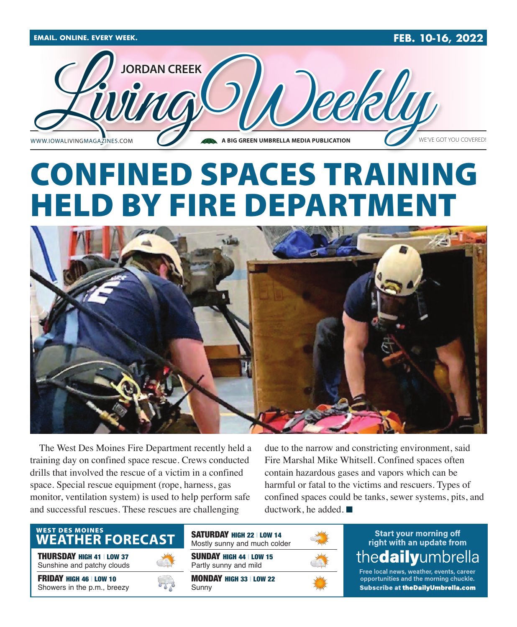

# CONFINED SPACES TRAINING HELD BY FIRE DEPARTMENT



The West Des Moines Fire Department recently held a training day on confined space rescue. Crews conducted drills that involved the rescue of a victim in a confined space. Special rescue equipment (rope, harness, gas monitor, ventilation system) is used to help perform safe and successful rescues. These rescues are challenging

due to the narrow and constricting environment, said Fire Marshal Mike Whitsell. Confined spaces often contain hazardous gases and vapors which can be harmful or fatal to the victims and rescuers. Types of confined spaces could be tanks, sewer systems, pits, and ductwork, he added.  $\blacksquare$ 

## WEST DES MOINES<br>WEATHER FORECAST

THURSDAY HIGH 41 | LOW 37 Sunshine and patchy clouds

FRIDAY HIGH 46 | LOW 10 Showers in the p.m., breezy



SUNDAY HIGH 44 | LOW 15 Partly sunny and mild SATURDAY HIGH 22 | LOW 14 Mostly sunny and much colder

MONDAY HIGH 33 | LOW 22 Sunny



## **Start your morning off** right with an update from thedailyumbrella

Free local news, weather, events, career opportunities and the morning chuckle. Subscribe at theDailyUmbrella.com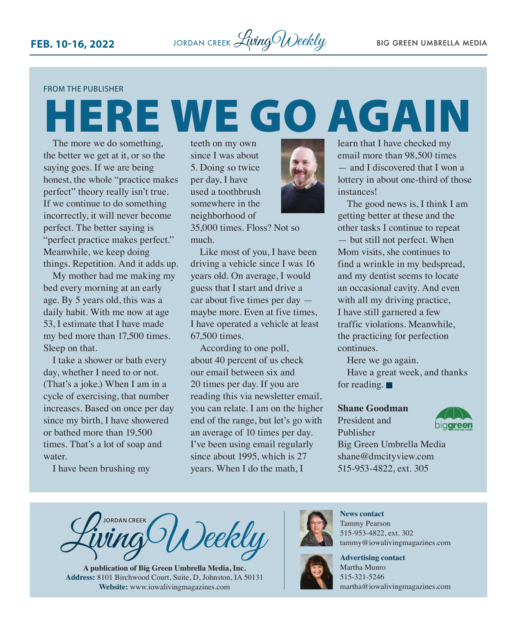### FROM THE PUBLISHER

# HERE WE GO AGAIN

The more we do something, the better we get at it, or so the saying goes. If we are being honest, the whole "practice makes perfect" theory really isn't true. If we continue to do something incorrectly, it will never become perfect. The better saying is "perfect practice makes perfect." Meanwhile, we keep doing things. Repetition. And it adds up.

My mother had me making my bed every morning at an early age. By 5 years old, this was a daily habit. With me now at age 53, I estimate that I have made my bed more than 17,500 times. Sleep on that.

I take a shower or bath every day, whether I need to or not. (That's a joke.) When I am in a cycle of exercising, that number increases. Based on once per day since my birth, I have showered or bathed more than 19,500 times. That's a lot of soap and water.

I have been brushing my

teeth on my own since I was about 5. Doing so twice per day, I have used a toothbrush somewhere in the neighborhood of

35,000 times. Floss? Not so much.

Like most of you, I have been driving a vehicle since I was 16 years old. On average, I would guess that I start and drive a car about five times per day maybe more. Even at five times, I have operated a vehicle at least 67,500 times.

According to one poll, about 40 percent of us check our email between six and 20 times per day. If you are reading this via newsletter email, you can relate. I am on the higher end of the range, but let's go with an average of 10 times per day. I've been using email regularly since about 1995, which is 27 years. When I do the math, I



learn that I have checked my email more than 98,500 times — and I discovered that I won a lottery in about one-third of those instances!

The good news is, I think I am getting better at these and the other tasks I continue to repeat but still not perfect. When Mom visits, she continues to find a wrinkle in my bedspread, and my dentist seems to locate an occasional cavity. And even with all my driving practice, I have still garnered a few traffic violations. Meanwhile, the practicing for perfection continues.

Here we go again.

Have a great week, and thanks for reading.  $\blacksquare$ 

## **Shane Goodman**

President and Publisher



Big Green Umbrella Media [shane@dmcityview.com](mailto:shane@dmcityview.com) 515-953-4822, ext. 305

**JORDAN CREEK** <sup>></sup>Deekly

**A publication of Big Green Umbrella Media, Inc. Address:** 8101 Birchwood Court, Suite, D, Johnston, IA 50131 **Website:** [www.iowalivingmagazines.com](http://www.iowalivingmagazines.com)



**News contact** Tammy Pearson 515-953-4822, ext. 302 [tammy@iowalivingmagazines.com](mailto:tammy@iowalivingmagazines.com)



**Advertising contact** Martha Munro 515-321-5246 [martha@iowalivingmagazines.com](mailto:martha@iowalivingmagazines.com)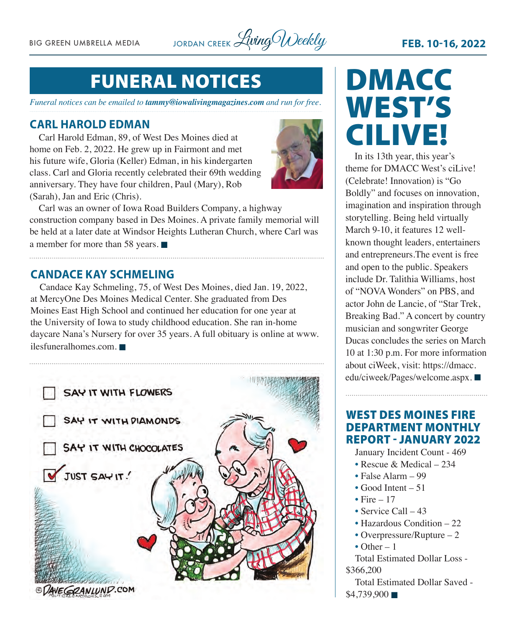BIG GREEN UMBRELLA MEDIA JORDAN CREEK *Living Weekly* FEB. 10-16, 2022

## FUNERAL NOTICES

*Funeral notices can be emailed to [tammy@iowalivingmagazines.com](mailto:tammy@iowalivingmagazines.com) and run for free.*

## **CARL HAROLD EDMAN**

Carl Harold Edman, 89, of West Des Moines died at home on Feb. 2, 2022. He grew up in Fairmont and met his future wife, Gloria (Keller) Edman, in his kindergarten class. Carl and Gloria recently celebrated their 69th wedding anniversary. They have four children, Paul (Mary), Rob (Sarah), Jan and Eric (Chris).



Carl was an owner of Iowa Road Builders Company, a highway construction company based in Des Moines. A private family memorial will be held at a later date at Windsor Heights Lutheran Church, where Carl was a member for more than 58 years.  $\blacksquare$ 

## **CANDACE KAY SCHMELING**

Candace Kay Schmeling, 75, of West Des Moines, died Jan. 19, 2022, at MercyOne Des Moines Medical Center. She graduated from Des Moines East High School and continued her education for one year at the University of Iowa to study childhood education. She ran in-home daycare Nana's Nursery for over 35 years. A full obituary is online at [www.](http://www.ilesfuneralhomes.com) [ilesfuneralhomes.com.](http://www.ilesfuneralhomes.com)  $\blacksquare$ 



# DMACC WEST'S CILIVE!

In its 13th year, this year's theme for DMACC West's ciLive! (Celebrate! Innovation) is "Go Boldly" and focuses on innovation, imagination and inspiration through storytelling. Being held virtually March 9-10, it features 12 wellknown thought leaders, entertainers and entrepreneurs.The event is free and open to the public. Speakers include Dr. Talithia Williams, host of "NOVA Wonders" on PBS, and actor John de Lancie, of "Star Trek, Breaking Bad." A concert by country musician and songwriter George Ducas concludes the series on March 10 at 1:30 p.m. For more information about ciWeek, visit: [https://dmacc.](https://dmacc.edu/ciweek/Pages/welcome.aspx) [edu/ciweek/Pages/welcome.aspx.](https://dmacc.edu/ciweek/Pages/welcome.aspx)

## WEST DES MOINES FIRE DEPARTMENT MONTHLY REPORT - JANUARY 2022

January Incident Count - 469

- Rescue & Medical 234
- False Alarm 99
- $\bullet$  Good Intent 51
- Fire  $= 17$
- Service Call 43
- Hazardous Condition 22
- Overpressure/Rupture 2
- Other  $-1$

Total Estimated Dollar Loss - \$366,200

Total Estimated Dollar Saved -  $$4,739,900$   $\blacksquare$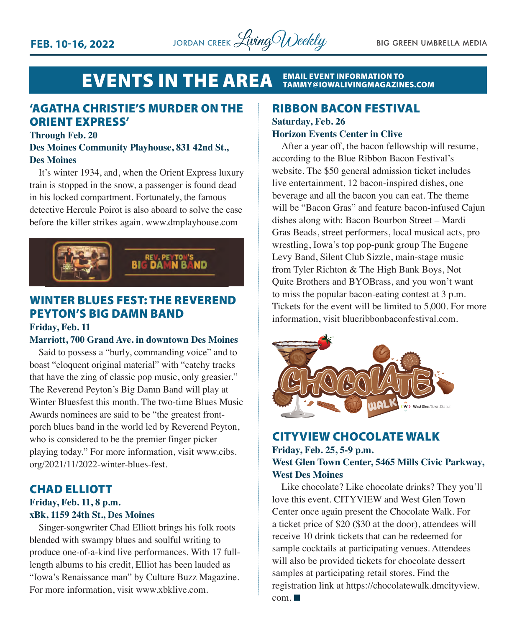

## **EVENTS IN THE AREA EMAIL EVENT INFORMATION TO<br>[TAMMY@IOWALIVINGMAGAZINES.COM](mailto:tammy@iowalivingmagazines.com)**

## 'AGATHA CHRISTIE'S MURDER ON THE ORIENT EXPRESS'

### **Through Feb. 20**

## **Des Moines Community Playhouse, 831 42nd St., Des Moines**

It's winter 1934, and, when the Orient Express luxury train is stopped in the snow, a passenger is found dead in his locked compartment. Fortunately, the famous detective Hercule Poirot is also aboard to solve the case before the killer strikes again. [www.dmplayhouse.com](http://www.dmplayhouse.com)



## WINTER BLUES FEST: THE REVEREND PEYTON'S BIG DAMN BAND

## **Friday, Feb. 11**

### **Marriott, 700 Grand Ave. in downtown Des Moines**

Said to possess a "burly, commanding voice" and to boast "eloquent original material" with "catchy tracks that have the zing of classic pop music, only greasier." The Reverend Peyton's Big Damn Band will play at Winter Bluesfest this month. The two-time Blues Music Awards nominees are said to be "the greatest frontporch blues band in the world led by Reverend Peyton, who is considered to be the premier finger picker playing today." For more information, visit [www.cibs.](http://www.cibs.org/2021/11/2022-winter-blues-fest) [org/2021/11/2022-winter-blues-fest](http://www.cibs.org/2021/11/2022-winter-blues-fest).

## CHAD ELLIOTT

## **Friday, Feb. 11, 8 p.m. xBk, 1159 24th St., Des Moines**

Singer-songwriter Chad Elliott brings his folk roots blended with swampy blues and soulful writing to produce one-of-a-kind live performances. With 17 fulllength albums to his credit, Elliot has been lauded as "Iowa's Renaissance man" by Culture Buzz Magazine. For more information, visit [www.xbklive.com.](http://www.xbklive.com)

## RIBBON BACON FESTIVAL

## **Saturday, Feb. 26 Horizon Events Center in Clive**

After a year off, the bacon fellowship will resume, according to the Blue Ribbon Bacon Festival's website. The \$50 general admission ticket includes live entertainment, 12 bacon-inspired dishes, one beverage and all the bacon you can eat. The theme will be "Bacon Gras" and feature bacon-infused Cajun dishes along with: Bacon Bourbon Street – Mardi Gras Beads, street performers, local musical acts, pro wrestling, Iowa's top pop-punk group The Eugene Levy Band, Silent Club Sizzle, main-stage music from Tyler Richton & The High Bank Boys, Not Quite Brothers and BYOBrass, and you won't want to miss the popular bacon-eating contest at 3 p.m. Tickets for the event will be limited to 5,000. For more information, visit [blueribbonbaconfestival.com](http://blueribbonbaconfestival.com).



## CITYVIEW CHOCOLATE WALK **Friday, Feb. 25, 5-9 p.m. West Glen Town Center, 5465 Mills Civic Parkway, West Des Moines**

Like chocolate? Like chocolate drinks? They you'll love this event. CITYVIEW and West Glen Town Center once again present the Chocolate Walk. For a ticket price of \$20 (\$30 at the door), attendees will receive 10 drink tickets that can be redeemed for sample cocktails at participating venues. Attendees will also be provided tickets for chocolate dessert samples at participating retail stores. Find the registration link at [https://chocolatewalk.dmcityview.](https://chocolatewalk.dmcityview.com)  $com. \blacksquare$  $com. \blacksquare$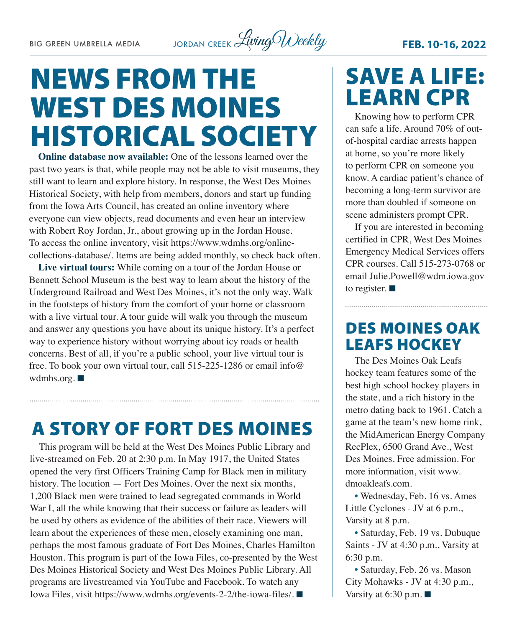# NEWS FROM THE WEST DES MOINES HISTORICAL SOCIETY

**Online database now available:** One of the lessons learned over the past two years is that, while people may not be able to visit museums, they still want to learn and explore history. In response, the West Des Moines Historical Society, with help from members, donors and start up funding from the Iowa Arts Council, has created an online inventory where everyone can view objects, read documents and even hear an interview with Robert Roy Jordan, Jr., about growing up in the Jordan House. To access the online inventory, visit [https://www.wdmhs.org/online](https://www.wdmhs.org/online-collections-database/)[collections-database/](https://www.wdmhs.org/online-collections-database/). Items are being added monthly, so check back often.

**Live virtual tours:** While coming on a tour of the Jordan House or Bennett School Museum is the best way to learn about the history of the Underground Railroad and West Des Moines, it's not the only way. Walk in the footsteps of history from the comfort of your home or classroom with a live virtual tour. A tour guide will walk you through the museum and answer any questions you have about its unique history. It's a perfect way to experience history without worrying about icy roads or health concerns. Best of all, if you're a public school, your live virtual tour is free. To book your own virtual tour, call 515-225-1286 or email [info@](mailto:info@wdmhs.org) [wdmhs.org.](mailto:info@wdmhs.org)  $\blacksquare$ 

## A STORY OF FORT DES MOINES

This program will be held at the West Des Moines Public Library and live-streamed on Feb. 20 at 2:30 p.m. In May 1917, the United States opened the very first Officers Training Camp for Black men in military history. The location — Fort Des Moines. Over the next six months, 1,200 Black men were trained to lead segregated commands in World War I, all the while knowing that their success or failure as leaders will be used by others as evidence of the abilities of their race. Viewers will learn about the experiences of these men, closely examining one man, perhaps the most famous graduate of Fort Des Moines, Charles Hamilton Houston. This program is part of the Iowa Files, co-presented by the West Des Moines Historical Society and West Des Moines Public Library. All programs are livestreamed via YouTube and Facebook. To watch any Iowa Files, visit<https://www.wdmhs.org/events-2-2/the-iowa-files/>. ■

## SAVE A LIFE: LEARN CPR

Knowing how to perform CPR can safe a life. Around 70% of outof-hospital cardiac arrests happen at home, so you're more likely to perform CPR on someone you know. A cardiac patient's chance of becoming a long-term survivor are more than doubled if someone on scene administers prompt CPR.

If you are interested in becoming certified in CPR, West Des Moines Emergency Medical Services offers CPR courses. Call 515-273-0768 or email [Julie.Powell@wdm.iowa.gov](mailto:Julie.Powell@wdm.iowa.gov) to register.  $\blacksquare$ 

## DES MOINES OAK LEAFS HOCKEY

The Des Moines Oak Leafs hockey team features some of the best high school hockey players in the state, and a rich history in the metro dating back to 1961. Catch a game at the team's new home rink, the MidAmerican Energy Company RecPlex, 6500 Grand Ave., West Des Moines. Free admission. For more information, visit [www.](http://www.dmoakleafs.com) [dmoakleafs.com](http://www.dmoakleafs.com).

• Wednesday, Feb. 16 vs. Ames Little Cyclones - JV at 6 p.m., Varsity at 8 p.m.

• Saturday, Feb. 19 vs. Dubuque Saints - JV at 4:30 p.m., Varsity at 6:30 p.m.

• Saturday, Feb. 26 vs. Mason City Mohawks - JV at 4:30 p.m., Varsity at 6:30 p.m.  $\blacksquare$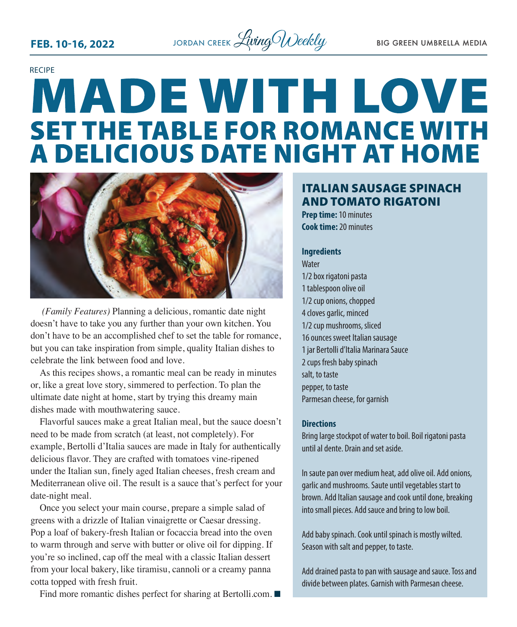

# RECIPE **MADE WITH LOVE SET THE TABLE FOR ROMANCE WITH<br>A DELICIOUS DATE NIGHT AT HOME**



 *(Family Features)* Planning a delicious, romantic date night doesn't have to take you any further than your own kitchen. You don't have to be an accomplished chef to set the table for romance, but you can take inspiration from simple, quality Italian dishes to celebrate the link between food and love.

As this recipes shows, a romantic meal can be ready in minutes or, like a great love story, simmered to perfection. To plan the ultimate date night at home, start by trying this dreamy main dishes made with mouthwatering sauce.

Flavorful sauces make a great Italian meal, but the sauce doesn't need to be made from scratch (at least, not completely). For example, Bertolli d'Italia sauces are made in Italy for authentically delicious flavor. They are crafted with tomatoes vine-ripened under the Italian sun, finely aged Italian cheeses, fresh cream and Mediterranean olive oil. The result is a sauce that's perfect for your date-night meal.

Once you select your main course, prepare a simple salad of greens with a drizzle of Italian vinaigrette or Caesar dressing. Pop a loaf of bakery-fresh Italian or focaccia bread into the oven to warm through and serve with butter or olive oil for dipping. If you're so inclined, cap off the meal with a classic Italian dessert from your local bakery, like tiramisu, cannoli or a creamy panna cotta topped with fresh fruit.

Find more romantic dishes perfect for sharing at [Bertolli.com.](http://Bertolli.com)  $\blacksquare$ 

## ITALIAN SAUSAGE SPINACH AND TOMATO RIGATONI

**Prep time:** 10 minutes **Cook time:** 20 minutes

## **Ingredients**

**Water** 1/2 box rigatoni pasta 1 tablespoon olive oil 1/2 cup onions, chopped 4 cloves garlic, minced 1/2 cup mushrooms, sliced 16 ounces sweet Italian sausage 1 jar Bertolli d'Italia Marinara Sauce 2 cups fresh baby spinach salt, to taste pepper, to taste Parmesan cheese, for garnish

## **Directions**

Bring large stockpot of water to boil. Boil rigatoni pasta until al dente. Drain and set aside.

In saute pan over medium heat, add olive oil. Add onions, garlic and mushrooms. Saute until vegetables start to brown. Add Italian sausage and cook until done, breaking into small pieces. Add sauce and bring to low boil.

Add baby spinach. Cook until spinach is mostly wilted. Season with salt and pepper, to taste.

Add drained pasta to pan with sausage and sauce. Toss and divide between plates. Garnish with Parmesan cheese.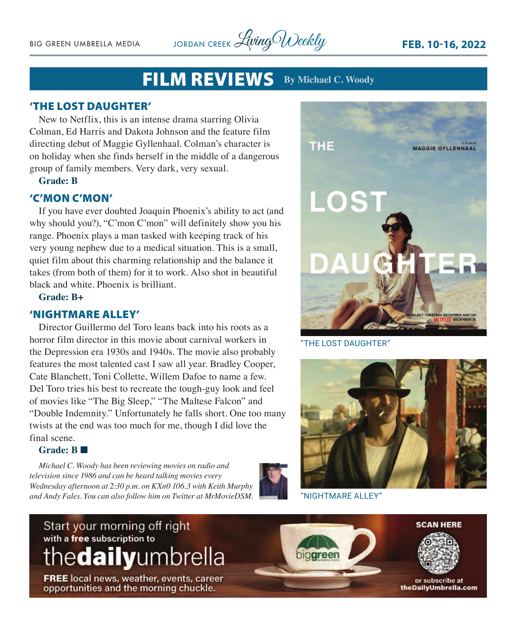BIG GREEN UMBRELLA MEDIA JORDAN CREEK *Living Weekly* FEB. 10-16, 2022

## FILM REVIEWS **By Michael C. Woody**

## 'THE LOST DAUGHTER'

New to Netflix, this is an intense drama starring Olivia Colman, Ed Harris and Dakota Johnson and the feature film directing debut of Maggie Gyllenhaal. Colman's character is on holiday when she finds herself in the middle of a dangerous group of family members. Very dark, very sexual.

## **Grade: B**

## 'C'MON C'MON'

If you have ever doubted Joaquin Phoenix's ability to act (and why should you?), "C'mon C'mon" will definitely show you his range. Phoenix plays a man tasked with keeping track of his very young nephew due to a medical situation. This is a small, quiet film about this charming relationship and the balance it takes (from both of them) for it to work. Also shot in beautiful black and white. Phoenix is brilliant.

**Grade: B+**

## 'NIGHTMARE ALLEY'

Director Guillermo del Toro leans back into his roots as a horror film director in this movie about carnival workers in the Depression era 1930s and 1940s. The movie also probably features the most talented cast I saw all year. Bradley Cooper, Cate Blanchett, Toni Collette, Willem Dafoe to name a few. Del Toro tries his best to recreate the tough-guy look and feel of movies like "The Big Sleep," "The Maltese Falcon" and "Double Indemnity." Unfortunately he falls short. One too many twists at the end was too much for me, though I did love the final scene.

## Grade: R

*Michael C. Woody has been reviewing movies on radio and television since 1986 and can be heard talking movies every Wednesday afternoon at 2:30 p.m. on KXn0 106.3 with Keith Murphy and Andy Fales. You can also follow him on Twitter at MrMovieDSM.* 





"THE LOST DAUGHTER"

"NIGHTMARE ALLEY"

## Start your morning off right with a free subscription to thedailyumbrella

**FREE** local news, weather, events, career opportunities and the morning chuckle.